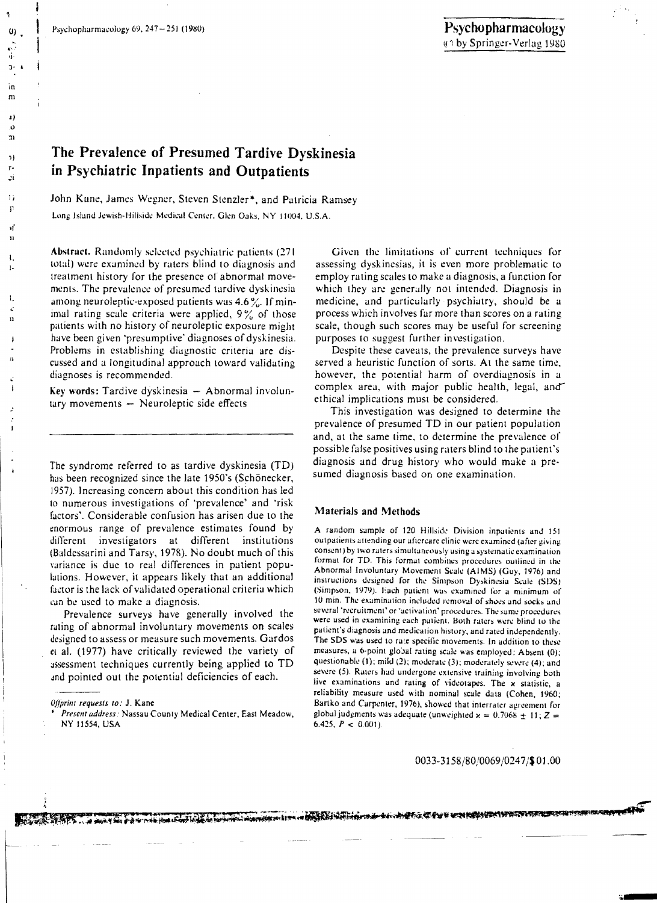# **The Prevalence of Presumed Tardive Dyskinesia** .:i **in Psychiatric Inpatients and Outpatients**

John Kane, James Wegner, Steven Stenzler\*, and Patricia Ramsey

Long Island Jewish-Hillside Medical Center, Glen Oaks, NY 11004, U.S.A.

Abstract. Randomly selected psychiatric patients (271) total) were examined by raters blind to diagnosis and treatment history for the presence of abnormal movements. The prevalence of presumed tardive dyskinesia among neuroleptic-exposed patients was  $4.6\%$ . If minimal rating scale criteria were applied,  $9\%$  of those patients with no history of neuroleptic exposure might have been given 'presumptive' diagnoses of dyskinesia. Problems in establishing diagnostic criteria are dis cussed and a longitudinal approach toward validating diagnoses is recommended.

Key words: Tardive dyskinesia - Abnormal involun $tary movements - Neuroleptic side effects$ 

The syndrome referred to as tardive dyskinesia (TD) has been recognized since the late 1950's (Schönecker, 1957). Increasing concern about this condition has led to numerous investigations of 'prevalence' and 'risk factors'. Considerable confusion has arisen due to the enormous range of prevalence estimates found by different investigators at different institutions (Baldessarini and Tarsy. 1978). No doubt much of this variance is due to real differences in patient populations. However, it appears likely that an additional factor is the lack ofvalidated operational criteria which can be used to make a diagnosis.

Prevalence surveys have generally involved the rating of abnormal involuntary movements on scales designed to assess or measure such movements. Gardos et al. (1977) have critically reviewed the variety of assessment techniques currently being applied to TD and pointed out the potential deficiencies of each.

Given the limitations of current techniques for assessing dyskinesias, it is even more problematic to employ rating scales to make a diagnosis, a function for which they are generally not intended. Diagnosis in medicine, and particularly psychiatry, should be a process which involves far more than scores on a rating scale, though such scores may be useful for screening purposes to suggest further investigation.

Despite these caveats, the prevalence surveys have served a heuristic function of sorts. At the same time, however, the potential harm of overdiagnosis in a complex area, with major public health, legal, and ethical implications must be considered.

This investigation was designed to determine the prevalence of presumed TD in our patient population and, at the same time, to determine the prevalence of possible false positives using raters blind to the patient's diagnosis and drug history who would make a presumed diagnosis based on one examination.

## Materials and Methods

A random sample of 120 Hillside Division inpatients and 151 outpatients attending our aftercare clinic were examined (after giving consent) by two raters simultaneously using a systematic examination format for TD. This format combines procedures outlined in the Abnormal Involuntary Movement Scale (AIMS) (Guy, 1976) and instructions designed for the Simpson Dyskinesia Scale (SDS) (Simpson, 1979). Each patient was examined for a minimum of 10 min. The examination included removal of shoes and socks and several 'recruitment' or 'activation' procedures. The same procedures were used in examining each patient. Both raters were blind to the patient's diagnosis and medication history, and rated independently. The SDS was used to rate specific movements. In addition to these measures, a 6-point global rating scale was employed: Absent (0); questionable  $(1)$ ; mild  $(2)$ ; moderate  $(3)$ ; moderately severe  $(4)$ ; and severe (5). Raters had undergone extensive training involving both live examinations and rating of videotapes. The  $\times$  statistic, a reliability measure used wilh nominal scale data (Cohen. *1960;*  Bartko and Carpenter, 1976), showed that interrater agreement for global judgments was adequate (unweighted  $x = 0.7068 \pm 11$ ; Z = 6.425,  $P < 0.001$ ).

*OJ/prim requests* 10: J. Kane

Present address: Nassau County Medical Center, East Meadow, NY 11554, USA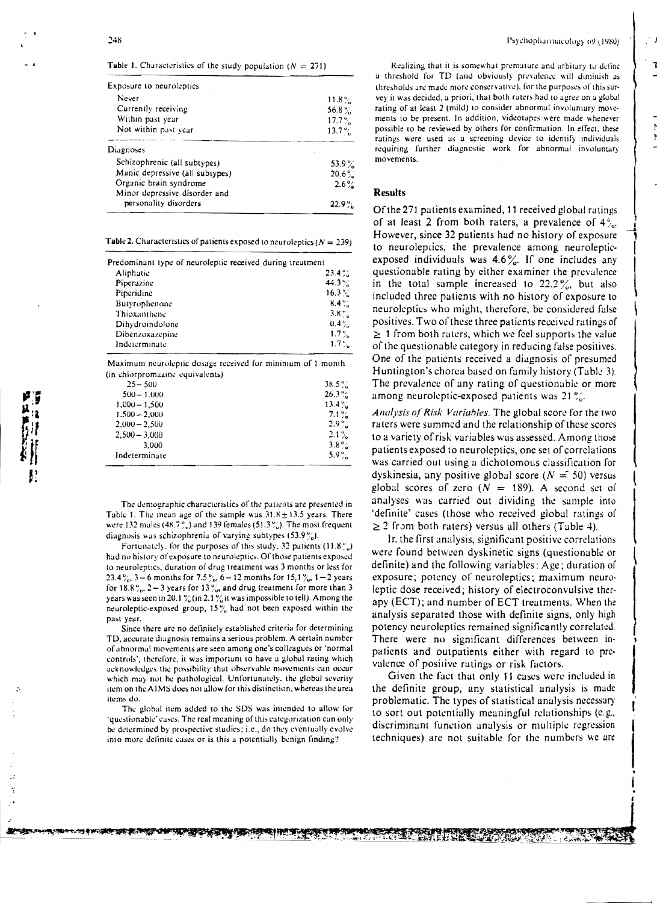Table 1. Characteristics of the study population ( $N = 271$ )

| <b>Exposure to neuroleptics</b> |                  |
|---------------------------------|------------------|
| Never                           | $11.8\%$         |
| Currently receiving             | $56.8\%$         |
| Within past year                | $17.7^{\circ}$ . |
| Not within past year            | $13.7\%$         |
| Diagnoses                       |                  |
| Schizophrenic (all subtypes)    | 53.9%            |
| Manic depressive (all subtypes) | $20.6\%$         |
| Organic brain syndrome          | 2.6%             |
| Minor depressive disorder and   |                  |
| personality disorders           |                  |
|                                 |                  |

**Table 2.** Characteristics of patients exposed to neuroleptics ( $N = 239$ )

| Aliphatic       | $23.4\%$  |
|-----------------|-----------|
| Piperazine      | 44.3%     |
| Pineridine      | $16.3\%$  |
| Butyrophenone   | $8.4\%$   |
| Thioxanthene    | $3.8\%$   |
| Dihydroindolone | $0.4\%$   |
| Dibenzoxazepine | $1.7\%$ . |
| Indeterminate   | $1.7\%$   |

Maximum neuroleptic dosage received for minimum of 1 month (in chlororomazine equivalents)

| $25 - 500$      | $38.5\%$ |
|-----------------|----------|
| $500 - 1,000$   | $26.3\%$ |
| $1.000 - 1.500$ | $13.4\%$ |
| $1,500 - 2,000$ | $7.1\%$  |
| $2,000 - 2,500$ | $2.9\%$  |
| $2,500 - 3,000$ | $2.1\%$  |
| 3.000           | $3.8\%$  |
| Indeterminate   | $5.9\%$  |

The demographic characteristics of the patients are presented in Table 1. The mean age of the sample was  $31.8 \pm 13.5$  years. There were 132 males (48.7%) and 139 females (51.3%). The most frequent diagnosis was schizophrenia of varying subtypes  $(53.9\%)$ .

Fortunately, for the purposes of this study, 32 patients  $(11.8\degree)$ had no history of exposure to neurolepties. Of those patients exposed to neuroleptics, duration of drug treatment was 3 months or less for 23.4%, 3-6 months for 7.5%, 6-12 months for 15.1%, 1-2 years for 18.8%, 2-3 years for 13%, and drug treatment for more than 3 years was seen in 20.1% (in 2.1% it was impossible to tell). Among the neuroleptic-exposed group, 15% had not been exposed within the past year.

Since there are no definitely established criteria for determining TD, accurate diagnosis remains a serious problem. A certain number of abnormal movements are seen among one's colleagues or 'normal controls', therefore, it was important to have a global rating which acknowledges the possibility that observable movements can occur which may not be pathological. Unfortunately, the global severity item on the AIMS does not allow for this distinction, whereas the area items do.

The global item added to the SDS was intended to allow for 'questionable' cases. The real meaning of this categorization can only be determined by prospective studies; i.e., do they eventually evolve into more definite cases or is this a potentially benign finding?

Realizing that it is somewhat premature and arbitary to define a threshold for TD (and obviously prevalence will diminish as thresholds are made more conservative), for the purposes of this survey it was decided, a priori, that both raters had to agree on a global rating of at least 2 (mild) to consider abnormal involuntary movements to be present. In addition, videotapes were made whenever possible to be reviewed by others for confirmation. In effect, these ratings were used as a screening device to identify individuals requiring further diagnostic work for abnormal involuntary movements.

#### **Results**

Of the 271 patients examined, 11 received global ratings of at least 2 from both raters, a prevalence of  $4\frac{b}{6}$ . However, since 32 patients had no history of exposure to neuroleptics, the prevalence among neurolepticexposed individuals was  $4.6\%$ . If one includes any questionable rating by either examiner the prevalence in the total sample increased to  $22.2\%$ , but also included three patients with no history of exposure to neuroleptics who might, therefore, be considered false positives. Two of these three patients received ratings of  $\geq 1$  from both raters, which we feel supports the value of the questionable category in reducing false positives. One of the patients received a diagnosis of presumed Huntington's chorea based on family history (Table 3). The prevalence of any rating of questionable or more among neuroleptic-exposed patients was  $21\%$ .

Analysis of Risk Variables. The global score for the two raters were summed and the relationship of these scores to a variety of risk variables was assessed. Among those patients exposed to neuroleptics, one set of correlations was carried out using a dichotomous classification for dyskinesia, any positive global score ( $N = 50$ ) versus global scores of zero ( $N = 189$ ). A second set of analyses was carried out dividing the sample into 'definite' cases (those who received global ratings of  $\geq$  2 from both raters) versus all others (Table 4).

In the first analysis, significant positive correlations were found between dyskinetic signs (questionable or definite) and the following variables: Age; duration of exposure; potency of neuroleptics; maximum neuroleptic dose received; history of electroconvulsive therapy (ECT); and number of ECT treatments. When the analysis separated those with definite signs, only high potency neuroleptics remained significantly correlated. There were no significant differences between inpatients and outpatients either with regard to prevalence of positive ratings or risk factors.

Given the fact that only 11 cases were included in the definite group, any statistical analysis is made problematic. The types of statistical analysis necessary to sort out potentially meaningful relationships (e.g., discriminant function analysis or multiple regression techniques) are not suitable for the numbers we are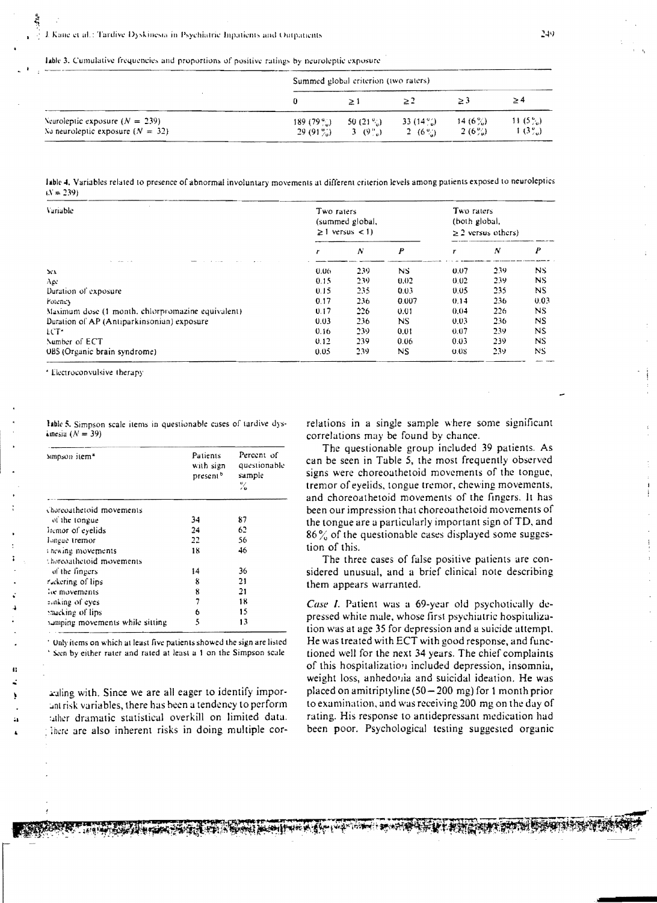lable 3. Cumulative frequencies and proportions of positive ratings by neuroleptic exposure

|                                                                        | Summed global criterion (two raters) |                                 |                               |                          |                        |  |
|------------------------------------------------------------------------|--------------------------------------|---------------------------------|-------------------------------|--------------------------|------------------------|--|
|                                                                        |                                      |                                 | $\geq$ 2                      | ≥э                       | ≥4                     |  |
| Neuroleptic exposure $(N = 239)$<br>No neuroleptic exposure $(N = 32)$ | $189(79\%)$<br>$-29(91\%)$           | $-50(21\%)$<br>$-3(9^{\circ}.)$ | 33 $(14^{\circ})$<br>$2(6\%)$ | 14 (6 $\%$ )<br>$2(6\%)$ | 11 $(5\%)$<br>$1(3\%)$ |  |

lable 4. Variables related to presence of abnormal involuntary movements at different criterion levels among patients exposed to neuroleptics  $(N = 239)$ 

| Variable                                           | Two raters<br>(summed global,<br>$\geq$ 1 versus < 1) |      | Two raters<br>(both global,<br>$\geq$ 2 versus others) |      |      |                  |
|----------------------------------------------------|-------------------------------------------------------|------|--------------------------------------------------------|------|------|------------------|
|                                                    | r                                                     | N    | $\boldsymbol{P}$                                       | r    | N    | $\boldsymbol{P}$ |
| 50 <sub>3</sub>                                    | 0.06                                                  | 239  | NS.                                                    | 0.07 | 239  | <b>NS</b>        |
| Age                                                | 0.15                                                  | 239  | 0.02                                                   | 0.02 | 239  | NS.              |
| Duration of exposure                               | 0.15                                                  | 235. | 0.03                                                   | 0.05 | 235  | <b>NS</b>        |
| Potency                                            | 0.17                                                  | 236  | 0.007                                                  | 0.14 | 236  | 0.03             |
| Maximum dose (1 month, chlorpromazine equivalent). | 0.17                                                  | 226  | 0.01                                                   | 0.04 | 226  | <b>NS</b>        |
| Duration of AP (Antiparkinsonian) exposure         | 0.03                                                  | 236  | NS.                                                    | 0.03 | 236  | NS.              |
| ECT <sup>-</sup>                                   | 0.16                                                  | 239. | 0.01                                                   | 0.07 | 239  | NS               |
| Number of ECT                                      | 0.12                                                  | 239  | 0.06                                                   | 0.03 | 239  | <b>NS</b>        |
| OBS (Organic brain syndrome)                       | 0.05                                                  | 239  | NS.                                                    | 0.08 | 239. | NS.              |

<sup>4</sup> Electroconvulsive therapy

 $\frac{1}{2}$ 

| lable 5. Simpson scale items in questionable cases of tardive dys- |  |  |  |  |
|--------------------------------------------------------------------|--|--|--|--|
| $\lambda$ inesia ( $N = 39$ ).                                     |  |  |  |  |

| simpson item*                   | Patients<br>with sign.<br>present <sup>b</sup> | Percent of<br>questionable<br>sample<br>$\frac{v}{\epsilon}$ |  |
|---------------------------------|------------------------------------------------|--------------------------------------------------------------|--|
| choreoathetoid movements        |                                                |                                                              |  |
| of the tongue                   | 34                                             | 87                                                           |  |
| Iremor of eyelids               | 24                                             | 62                                                           |  |
| Longue tremor                   | 22                                             | 56                                                           |  |
| chewing movements               | 18                                             | 46                                                           |  |
| horeoathetoid movements         |                                                |                                                              |  |
| of the fingers                  | 14                                             | 36                                                           |  |
| rackering of lips               | 8                                              | 21                                                           |  |
| lie movements                   | 8                                              | 21                                                           |  |
| ainking of eyes                 |                                                | 18                                                           |  |
| smacking of lips                | 6                                              | 15                                                           |  |
| sumping movements while sitting | 5                                              | 13                                                           |  |

Only items on which at least five patients showed the sign are listed Seen by either rater and rated at least a 1 on the Simpson scale

xaling with. Since we are all eager to identify imporant risk variables, there has been a tendency to perform taber dramatic statistical overkill on limited data. There are also inherent risks in doing multiple correlations in a single sample where some significant correlations may be found by chance.

The questionable group included 39 patients. As can be seen in Table 5, the most frequently observed signs were choreoathetoid movements of the tongue, tremor of eyelids, tongue tremor, chewing movements, and choreoathetoid movements of the fingers. It has been our impression that choreoathetoid movements of the tongue are a particularly important sign of TD, and  $86\%$  of the questionable cases displayed some suggestion of this.

The three cases of false positive patients are considered unusual, and a brief clinical note describing them appears warranted.

Case I. Patient was a 69-year old psychotically depressed white male, whose first psychiatric hospitalization was at age 35 for depression and a suicide attempt. He was treated with ECT with good response, and functioned well for the next 34 years. The chief complaints of this hospitalization included depression, insomnia, weight loss, anhedouia and suicidal ideation. He was placed on amitriptyline  $(50-200 \text{ mg})$  for 1 month prior to examination, and was receiving 200 mg on the day of rating. His response to antidepressant medication had been poor. Psychological testing suggested organic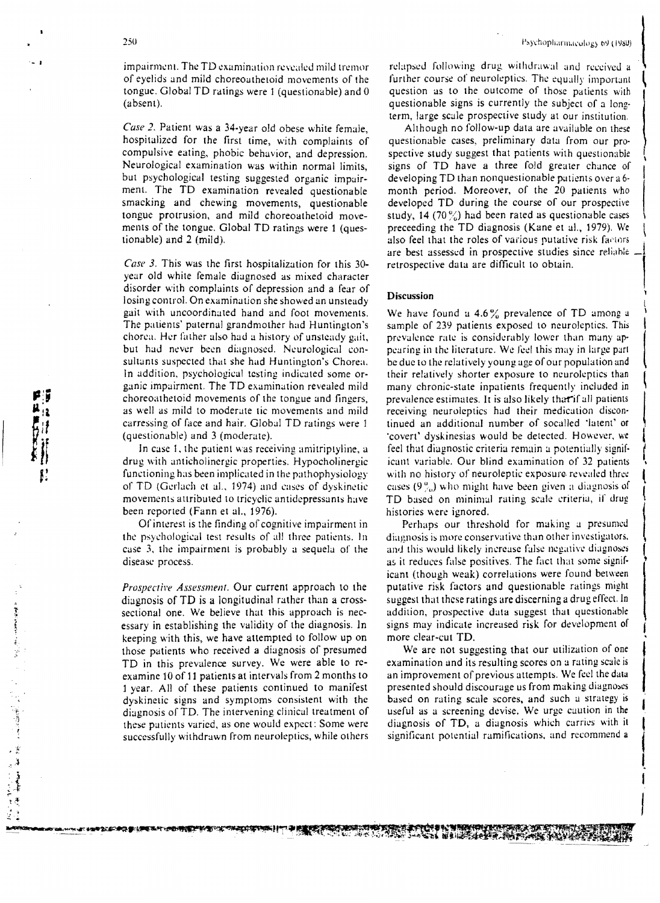impairment. The TD examination revealed mild tremor of eyelids and mild choreoathetoid movements of the tongue. Global TO ratings were 1 (questionable) and 0 (absent).

*Case* 2. Patient was a 34-year old obese white female, hospitalized for the first time, with complaints of compulsive eating, phobic behavior, and depression. Neurological examination was within normal limits, but psychological testing suggested organic impairment. The TO examination revealed questionable smacking and chewing movements, questionable tongue protrusion, and mild choreoathetoid movements of the tongue. Global TO ratings were 1 (questionable) and 2 (mild).

*Case* 3. This was the first hospitalization for this 30 year old white female diagnosed as mixed character disorder with complaints of depression and a fear of losing control. On examination she showed an unsteady gait with uncoordinated hand and foot movements. The patients' paternal grandmother had Huntington's chorea. Her father also had a history of unsteady gait, but had never been diagnosed. Neurological consultants suspected that she had Huntington's Chorea. In addition, psychological testing indicated some organic impairment. The TO examination revealed mild choreoathetoid movements of the tongue and fingers, as well as mild to moderate tic movements and mild carressing of face and hair. Global TO ratings were 1 (questionable) and 3 (moderate).

In case 1, the patient was receiving amitriptyline, a drug with anticholinergic properties. Hypocholinergic functioning has been implicated in the pathophysiology or TO (Gerlach et aI., 1974) and cases of dyskinetic movements attributed to tricyclic antidepressants have been reponed (Fann et aI., 1976).

Ofintcrest is the finding of cognitive impairment in the psychological test results of all three patients. In case 3, the impairment is probably a sequela of the disease process.

*Prospective Assessment.* Our current approach to the diagnosis of TD is a longitudinal rather than a crosssectional one. We believe that this approach is necessary in establishing the validity of the diagnosis. In keeping with this, we have attempted to follow up on those patients who received a diagnosis of presumed TO in this prevalence survey. We were able to reexamine 10 of 11 patients at intervals from 2 months to 1 year. All of these patients continued to manifest dyskinetic signs and symptoms consistent with the diagnosis of TO. The intervening clinical treatment of these patients varied, as one would expect: Some were successfully withdrawn from neuroleptics, while others

relapsed following drug withdrawal and received a further course of neuroleptics. The equally important question as to the outcome of those patients with questionable signs is currently the subject of a longterm, large scale prospective study at our institution,

Although no follow-up data are available on these questionable cases, preliminary data from our prospective study suggest that patients with questionable signs of TO have a three fold greater chance of developing TD than nonquestionable patients over a 6month period. Moreover, of the 20 patients who developed TO during the course of our prospective study, 14 (70  $\%$ ) had been rated as questionable cases preceeding the TD diagnosis (Kane et al., 1979). We also feel that the roles of various putative risk factors are best assessed in prospective studies since reliable  $\frac{1}{n}$ also feel that the roles of various putative risk factors<br>are best assessed in prospective studies since reliable —<br>retrospective data are difficult to obtain.

### Discussion

We have found a  $4.6\%$  prevalence of TD among a sample of 239 patients exposed to neuroleptics. This prevalence rate is considerably lower than many ap-<br>pearing in the literature. We feel this may in large part<br>be due to the relatively young age of our population and<br>their relatively shorter exposure to neuroleptics than pearing in the literature. We feel this may in large part their relatively shorter exposure to neuroleptics than many chronic-state inpatients frequently included in prevalence estimates. It is also likely thaf"if all patients receiving neuroleptics had their medication discon-<br>tinued an additional number of socalled 'latent' or<br>'covert' dyskinesias would be detected. However, we<br>feel that diagnostic criteria remain a potentially signiftinued an additional number of socalled 'latent' or feel that diagnostic criteria remain a potentially significant variable. Our blind examination of 32 patients with no history of neuroleptic exposure revealed three cases (9 $\frac{\partial}{\partial \theta}$ ) who might have been given a diagnosis of TD based on minimal rating scale criteria, if drug histories were ignored.

Perhaps our threshold for making a presumed diagnosis is more conservative than other investigators. and this would likely increase false negative diagnoses  $\left\{\right\}$  as it reduces false positives. The fact that some significant (though weak) correlations were found between putative risk factors and questionable ratings might suggest that these ratings are discerning a drug effect. In addition, prospective data suggest thai questionable signs may indicate increased risk for development of more clear-cut TD.

 $\overline{\phantom{a}}$ 

J. I

I

We are not suggesting that our utilization of one examination and its resulting scores on a rating scale is an improvement of previous attempts. We feel the data presented should discourage us from making diagnoses based on rating scale scores, and such a strategy is useful as a screening devise. We urge caution in the based on rating scale scores, and such a strategy is<br>useful as a screening devise. We urge caution in the<br>diagnosis of TD, a diagnosis which carries with it diagnosis of TD, a diagnosis which carries with it significant potential ramifications, and recommend a